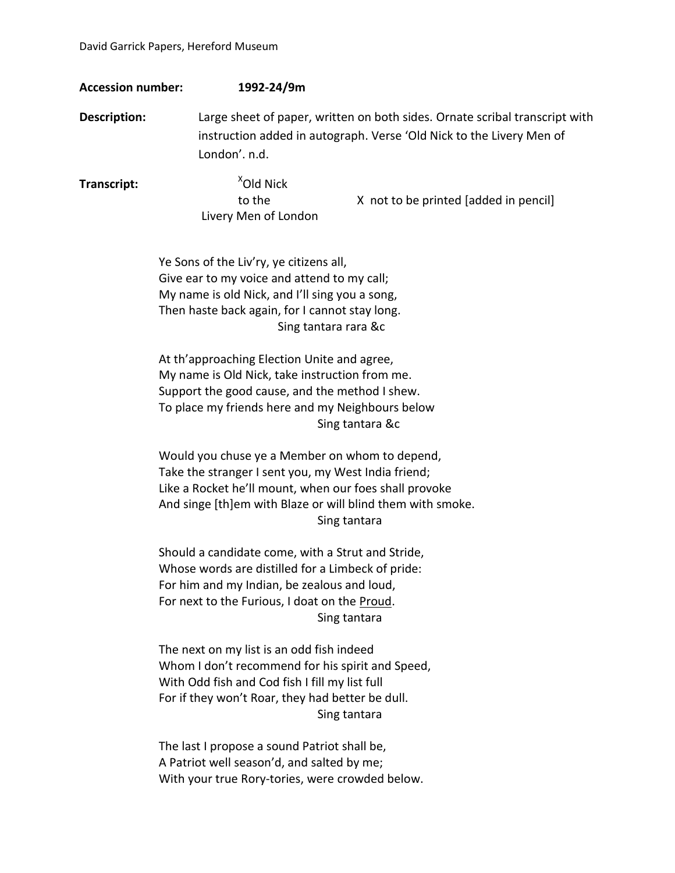| <b>Accession number:</b> | 1992-24/9m                                                                                                                                                                                                                                    |
|--------------------------|-----------------------------------------------------------------------------------------------------------------------------------------------------------------------------------------------------------------------------------------------|
| <b>Description:</b>      | Large sheet of paper, written on both sides. Ornate scribal transcript with<br>instruction added in autograph. Verse 'Old Nick to the Livery Men of<br>London'. n.d.                                                                          |
| Transcript:              | <sup>X</sup> Old Nick<br>to the<br>X not to be printed [added in pencil]<br>Livery Men of London                                                                                                                                              |
|                          | Ye Sons of the Liv'ry, ye citizens all,<br>Give ear to my voice and attend to my call;<br>My name is old Nick, and I'll sing you a song,<br>Then haste back again, for I cannot stay long.<br>Sing tantara rara &c                            |
|                          | At th'approaching Election Unite and agree,<br>My name is Old Nick, take instruction from me.<br>Support the good cause, and the method I shew.<br>To place my friends here and my Neighbours below<br>Sing tantara &c                        |
|                          | Would you chuse ye a Member on whom to depend,<br>Take the stranger I sent you, my West India friend;<br>Like a Rocket he'll mount, when our foes shall provoke<br>And singe [th]em with Blaze or will blind them with smoke.<br>Sing tantara |
|                          | Should a candidate come, with a Strut and Stride,<br>Whose words are distilled for a Limbeck of pride:<br>For him and my Indian, be zealous and loud,<br>For next to the Furious, I doat on the Proud.<br>Sing tantara                        |
|                          | The next on my list is an odd fish indeed<br>Whom I don't recommend for his spirit and Speed,<br>With Odd fish and Cod fish I fill my list full<br>For if they won't Roar, they had better be dull.<br>Sing tantara                           |
|                          | The last I propose a sound Patriot shall be,<br>A Patriot well season'd, and salted by me;<br>With your true Rory-tories, were crowded below.                                                                                                 |